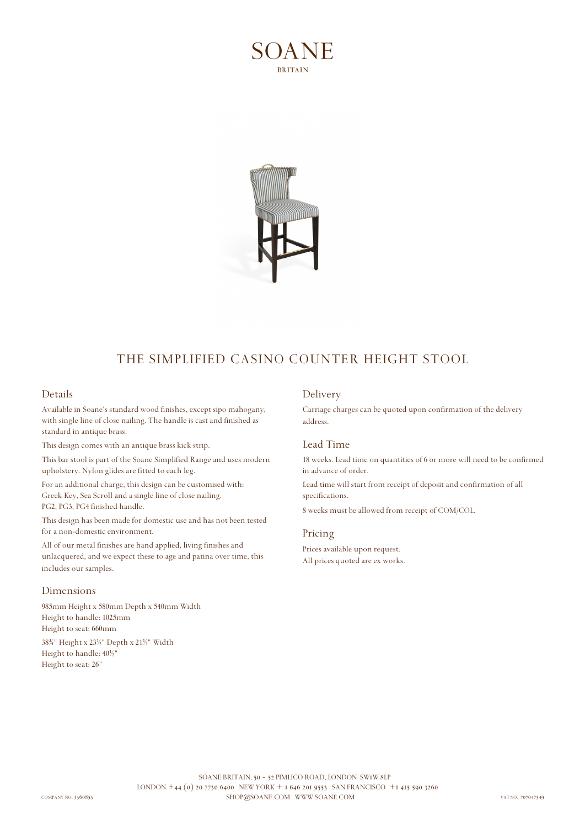



# THE SIMPLIFIED CASINO COUNTER HEIGHT STOOL

## **Details**

Available in Soane's standard wood finishes, except sipo mahogany, with single line of close nailing. The handle is cast and finished as standard in antique brass.

This design comes with an antique brass kick strip.

This bar stool is part of the Soane Simplified Range and uses modern upholstery. Nylon glides are fitted to each leg.

For an additional charge, this design can be customised with: Greek Key, Sea Scroll and a single line of close nailing. PG2, PG3, PG4 finished handle.

This design has been made for domestic use and has not been tested for a non-domestic environment.

All of our metal finishes are hand applied, living finishes and unlacquered, and we expect these to age and patina over time, this includes our samples.

#### **Dimensions**

985mm Height x 580mm Depth x 540mm Width Height to handle: 1025mm Height to seat: 660mm

38¾" Height x 23½" Depth x 21½" Width Height to handle: 40½" Height to seat: 26"

### **Delivery**

Carriage charges can be quoted upon confirmation of the delivery address.

#### **Lead Time**

18 weeks. Lead time on quantities of 6 or more will need to be confirmed in advance of order.

Lead time will start from receipt of deposit and confirmation of all specifications.

8 weeks must be allowed from receipt of COM/COL.

### **Pricing**

Prices available upon request. All prices quoted are ex works.